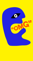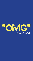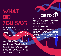# **WHAT** Did You Say?

#### BY JOHN ANNANDALE

"Oh my God!" (OMG) is a common exclamation—an everyday expression. Ironically, many who use it claim no belief in a god of any kind. Yet, from moments of minor disbelief to times of great wonder to times of crisis, there it is—"Oh my God!"

Author Randy Kilgore observed in his book *Made to Matter* that people appeal instinctively to a God, "somewhere up there", or as Kilgore suggests, "to someone whom they think may know Him." This religious inclination and searching comes especially during times of crisis: a personal loss, a financial crunch, a problem in their marriage, or with their children.

### AN **INSTINC**

But why should times of stress and crisis elicit such a response? Is there something wired into our DNA that suggests that there is something—or someone—more? Someone bigger, deeper, and wider than the life we struggle through?

French mathematician and physicist Blaise Pascal once commented, "There is a Godshaped vacuum in the heart of every man which cannot be filled by any created thing, but only by God, the Creator." We may try to hide from it or ignore it, but it's there and we are reminded of it from time to time.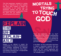This God awareness, revealed in a variety of ways, is reflected in the many religions that have been created to explain the unexplainable. In our modern age, the awareness persists and we can see increasing expressions of spirituality. People the world over are seeking something beyond themselves.

EXPLAIN

# **TRYING** Mortals TO TOUCH GOD

Could the expression, "Oh my God!" actually hint at this quest for understanding and significance? Perhaps we instinctively Could the expression, "Oh my God!"<br>actually hint at this quest for understanding<br>and significance? Perhaps we instinctively<br>realize that there is a God. If so, perhaps we intuitively know that there is certainly a huge gulf between Him and ourselves.

In the Bible, we find confirmation that there is indeed a separation between God and man—a separation caused by our sins. Words like "sin" sound judgmental and make us want to run a mile. But what does "sin" actually mean?

Religion is our attempt to explain the unexplainable. It is easy to understand why early humanity, bewildered by lightning. invented a Zeus. Indeed, for every need from fertility to winning a war—an appropriate **ABLE** 

EXPLAIN-

deity has been imagined.

THE S

UN-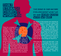## **THAT STRANG CHURCH WORD-S**

Think for a moment about the things that unsettle a home. I'd suggest that the most disrupting thing is selfishness. Nothing destabilises family relationships more than a child or an adult who is so self-absorbed that the wants and needs of the rest of the family are ignored and go unmet. What creates more family squabbles than one member whose every action is geared to personal pleasure or advantage, regardless of the consequences for the rest of the family? That's the basic meaning of the word *sin*. It's that self-absorption that undermines relationships. The many activities we label as sins are the expression of a self-absorbed life. The problem is essentially our natural inclination to be the centre of our universe.

### THE ISSUE IS OUR NATURE it is less about what we DO AND MORE ABOUT **WHO WE ARE.**

Our desire to find purpose and meaning by being the masters of our own destiny has an essential flaw: I cannot even control tomorrow. I could be diagnosed with cancer or paralysed in an accident. The stock market could collapse and with it my retirement plans. Despite these possibilities, we remain insistent that we walk our own path—we are the captains of our own ship. It seems that rebellion against most forms of authority is in our nature; it even makes us think we can control things far beyond us.

What does this have to do with God? If we are open to the possibility that God made us, we may wonder why. Could it be that a God-shaped vacuum in us—expressed in spiritual pursuits and a desire to command our own destinies—might actually reflect divine desire for relationship, Creator to creation?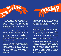



Why would God, creator of the universe, want a relationship with a skin and bone man who cannot even guarantee his tomorrow? And even if that were true and possible, where would we possibly find common ground?

I once read the story of a king who regularly dressed in rags and tatters and visited the slums to experience the misery of poverty and to interact one-on-one with his people. They were his people, his responsibility. He walked among them looking for ways to lift them out of their poverty.

What if the Creator reached out to us by becoming one of us? What if the Creator experienced life like we do—the good, the bad and the ugly? The child of unmarried parents, forced to listen to the snigger of schoolmates, and ridiculed by his brothers and sisters.

Suppose this young man lost his father at an early age—his mentor, the one who daily taught him the family trade, the faith of his ancestors, and the customs of his people.

As this young man grows, he becomes aware that there is a greater call on his life, greater than the family business—a religious teacher. But he finds no acceptance in his own town and is forced to go elsewhere. Yet while he touches the lives of many, national leadership, feeling threatened by his popularity, plot to get rid of him.

Eventually these leaders convince one of his closest friends to renounce and betray him. Trumping up claims that he has subversive plans to topple the ruling government and declare himself a political leader, he is arrested and beaten. Finally, in a trial of biased and twisted charges, is convicted and sentenced to death.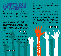

Would such a person have an understanding of our struggles? If Creator God became a man and experienced the struggles of life, that would be amazing common ground for a relationship!

The Bible claims that is exactly what happened. Jesus, Creator God in the flesh, was conceived out of wedlock. He was rejected by his siblings and his community; betrayed, illegally tried, condemned and murdered. History confirms this strange story.  $\bullet$ 

Stranger still, the Gospel accounts of Jesus' life tell us that despite eyewitness testimony confirming his death, Jesus was seen alive and well three days later. He was seen by his close circle of friends and later by 500 people. Early manuscripts indicate that of his closest followers, 11 went on to proclaim Jesus as God among us, who died and rose again.



So convinced were these men that rather than stop sharing their experience, 10 were themselves rejected and killed. Who would die for a lie?

Based on such eyewitness accounts, the early church was born. Despite huge opposition to the new followers, 2000 years later, many millions have embraced the belief that God became man, lived among us, was killed, but came to life again. No event in ancient history is as well supported as the account of Jesus' life, death, and resurrection.

HISTORY CONFIRMS<br>STRANGE STORY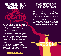# Humiliating humanity and

DEATH

But why die? Why not simply invade (in proper "War of the Worlds" fashion), establish supremacy, and force compliance? Why subject himself to the struggles of humanity and a humiliating death?

Earlier we asked about the relationship that was severed by humanity's insistence on being the captains of our own destinies we resist and reject having life directed by anyone else. Consequently, even though it is possible, a relationship between Creator and creation is unlikely. That fairly demands the question: What would it take to reestablish that relationship? Let's look closer to home, into our own circumstances for an insight into restoring relationship.



### The price of **PIESTORATION**

What does restoration require? First, we have to recognize that the relationship has been broken. Second, we need to acknowledge that the cause of the rift lies with our selfishness—the resistance to relinquish control of our own destiny. Finally, the issues that caused the rift in the first place need to be addressed and corrected. There is always a price to pay for restoration.

RISEN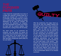I once heard the (supposedly true) story of a judge who received a docket sheet for a young lady charged with a serious crime. If convicted, the penalty would be a heavy fine or imprisonment. The judge was deeply distressed as he read the charges. He recognized the defendant—his daughter. She had devastated the family and broken his heart with her youthful rebellion. She had left home, cutting all ties with the family.

His heart broke as he examined the evidence; she was guilty. He issued his verdict and announced the sentence: a fine or a prison term. As the gavel struck the bench, reality dawned on the young lady. She had been condemned (quite justly) by her own father!



young lady a

After the sentencing, the judge stood up. took off his robe and walked towards the defendant. In front of the entire courtroom, he said, "As your judge, I have found you guilty." Then, he took out his checkbook and wrote a check for the full amount of the fine. Looking into his daughter's eyes he said, "Young lady, you have two options: You can reject this check and either attempt to pay the fine yourself or serve out your sentence; alternatively, you can accept this gift and allow me to pay the penalty for you, and walk away a free woman." She couldn't pay, imprisonment and humiliation were her only alternative. But the price of her freedom would be paid by one whose love had never faltered, even though she had shunned him. They embraced and wept in the uncomfortable silence of an amazed courtroom.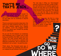## THAT'S ME ... THAT'S JESUS...

If (for once) I can be honest with myself, I'm that young woman. I've missed the mark, and I know it. And the despair isn't skin deep, it's soul deep and my loneliness is beyond description.

There's a severed connection deep down, the result of my wilful insistence that we rule our own lives—rebellion against love. Despite our rebellion, "Love" has wrapped himself around us, taking upon himself the penalty for our selfishness.

Do you see the link between our emptiness and inadequacy and a Creator who is both loving and spotless (the Bible uses the word "holy")? Our inner turmoil stems from our rejection of him and his love, a rejection that deserves punishment. But he becomes our substitute to win us back—he paid the price.

That's Jesus. Two thousand years ago, in love he became our substitute and died for us, bridging the gulf between God and man.

The next step in filling our "God-shaped" vacuum is what we may term "a leap of faith." Our self-sufficiency and rebellion against our Creator not only robs us of a full life but also deserves punishment. Our next step, like the young woman in the courtroom, is to decide what to do with the offer of the payment on our behalf and to embrace the one who makes the offer.

There's one more step, the first in a long journey—cutting ties with our rebellion. We need to "die to who we were, to become what

we were intended to be." This is the law of nature. A seed dies before it produces a plant.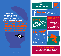#### **I HOPE THIS** article opened YOUR MIND TO God's picture of a restored relationship.



© 2014 RBC Ministries. *All rights reserved.*

#### **VISIT** ymiblogging.org



**LIKE** ymiblogging on Facebook to stay up-to-date on the latest happenings.



### PRAY

for God's leading and wisdom as more resources are being developed to help reach the next generation for Christ.



ymiblogging with your friends locally and abroad ( We currently have sites in English, Traditional Chinese, Simplified Chinese, Thai, and Bahasa Indonesian).



### CONTRIBU

your original works (writings, songs, videos, wallpapers) to inspire others in the creative communication of His Word.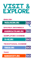

**ENGLISH** 

YMIBLOGGING.ORG

**BAHASA INDONESIA** 

**WARUNGSATEKAMU.ORG** 

**SIMPLIFIED CHINESE** 

YA-MI.ORG

**TRADITIONAL CHINESE** 

**YBREAD.ORG** 



**MANASOCIETY.ORG** 





GO

GO